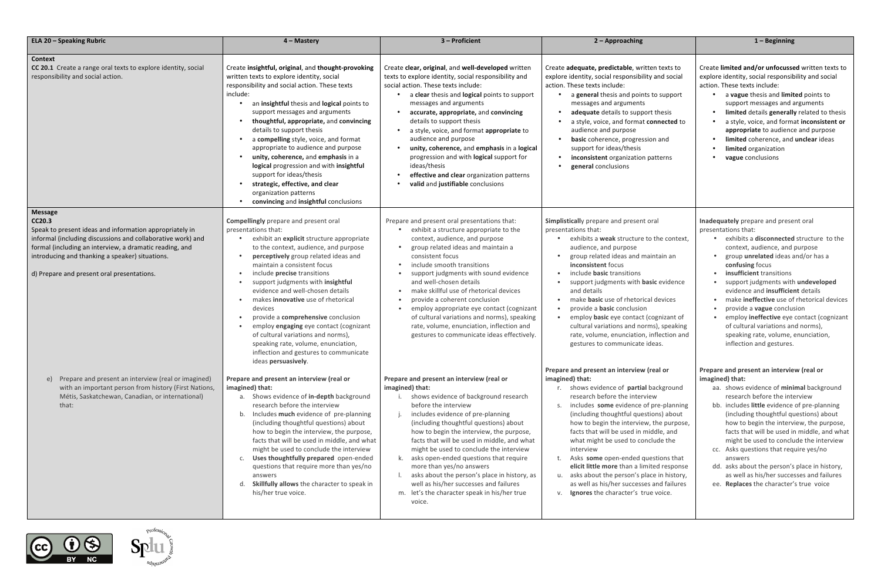| <b>ELA 20 - Speaking Rubric</b>                                                                                                                                                                                                                                                                                | 4 - Mastery                                                                                                                                                                                                                                                                                                                                                                                                                                                                                                                                                                                                                           | 3 - Proficient                                                                                                                                                                                                                                                                                                                                                                                                                                                                                                                                                                                             | 2 - Approaching                                                                                                                                                                                                                                                                                                                                                                                                                                                                                                                                                                                      | $1 -$ Beginning                                                                                                                                                                                                                                                                                                                                                                                                |
|----------------------------------------------------------------------------------------------------------------------------------------------------------------------------------------------------------------------------------------------------------------------------------------------------------------|---------------------------------------------------------------------------------------------------------------------------------------------------------------------------------------------------------------------------------------------------------------------------------------------------------------------------------------------------------------------------------------------------------------------------------------------------------------------------------------------------------------------------------------------------------------------------------------------------------------------------------------|------------------------------------------------------------------------------------------------------------------------------------------------------------------------------------------------------------------------------------------------------------------------------------------------------------------------------------------------------------------------------------------------------------------------------------------------------------------------------------------------------------------------------------------------------------------------------------------------------------|------------------------------------------------------------------------------------------------------------------------------------------------------------------------------------------------------------------------------------------------------------------------------------------------------------------------------------------------------------------------------------------------------------------------------------------------------------------------------------------------------------------------------------------------------------------------------------------------------|----------------------------------------------------------------------------------------------------------------------------------------------------------------------------------------------------------------------------------------------------------------------------------------------------------------------------------------------------------------------------------------------------------------|
| <b>Context</b><br>CC 20.1 Create a range oral texts to explore identity, social<br>responsibility and social action.                                                                                                                                                                                           | Create insightful, original, and thought-provoking<br>written texts to explore identity, social<br>responsibility and social action. These texts<br>include:<br>an insightful thesis and logical points to<br>support messages and arguments<br>thoughtful, appropriate, and convincing<br>details to support thesis<br>a compelling style, voice, and format<br>appropriate to audience and purpose<br>unity, coherence, and emphasis in a<br>logical progression and with insightful<br>support for ideas/thesis<br>strategic, effective, and clear<br>organization patterns<br>convincing and insightful conclusions               | Create clear, original, and well-developed written<br>texts to explore identity, social responsibility and<br>social action. These texts include:<br>a clear thesis and logical points to support<br>messages and arguments<br>accurate, appropriate, and convincing<br>$\bullet$<br>details to support thesis<br>a style, voice, and format appropriate to<br>$\bullet$<br>audience and purpose<br>unity, coherence, and emphasis in a logical<br>progression and with logical support for<br>ideas/thesis<br>effective and clear organization patterns<br>$\bullet$<br>valid and justifiable conclusions | Create adequate, predictable, written texts to<br>explore identity, social responsibility and social<br>action. These texts include:<br>a general thesis and points to support<br>messages and arguments<br>adequate details to support thesis<br>a style, voice, and format connected to<br>audience and purpose<br>basic coherence, progression and<br>support for ideas/thesis<br>inconsistent organization patterns<br>general conclusions                                                                                                                                                       | Create limited and/or unfocusse<br>explore identity, social responsib<br>action. These texts include:<br>a vague thesis and limit<br>support messages and a<br>limited details generall<br>a style, voice, and form<br>appropriate to audienc<br>limited coherence, and<br>limited organization<br>vague conclusions                                                                                           |
| <b>Message</b><br>CC20.3<br>Speak to present ideas and information appropriately in<br>informal (including discussions and collaborative work) and<br>formal (including an interview, a dramatic reading, and<br>introducing and thanking a speaker) situations.<br>d) Prepare and present oral presentations. | <b>Compellingly</b> prepare and present oral<br>presentations that:<br>exhibit an <i>explicit</i> structure appropriate<br>to the context, audience, and purpose<br>perceptively group related ideas and<br>maintain a consistent focus<br>include precise transitions<br>support judgments with insightful<br>evidence and well-chosen details<br>makes <b>innovative</b> use of rhetorical<br>devices<br>provide a comprehensive conclusion<br>employ engaging eye contact (cognizant<br>of cultural variations and norms),<br>speaking rate, volume, enunciation,<br>inflection and gestures to communicate<br>ideas persuasively. | Prepare and present oral presentations that:<br>exhibit a structure appropriate to the<br>context, audience, and purpose<br>group related ideas and maintain a<br>consistent focus<br>include smooth transitions<br>$\bullet$<br>support judgments with sound evidence<br>and well-chosen details<br>make skillful use of rhetorical devices<br>$\bullet$<br>provide a coherent conclusion<br>employ appropriate eye contact (cognizant<br>$\bullet$<br>of cultural variations and norms), speaking<br>rate, volume, enunciation, inflection and<br>gestures to communicate ideas effectively.             | Simplistically prepare and present oral<br>presentations that:<br>exhibits a <b>weak</b> structure to the context,<br>audience, and purpose<br>group related ideas and maintain an<br>inconsistent focus<br>include <b>basic</b> transitions<br>support judgments with basic evidence<br>and details<br>make <b>basic</b> use of rhetorical devices<br>provide a <b>basic</b> conclusion<br>employ basic eye contact (cognizant of<br>cultural variations and norms), speaking<br>rate, volume, enunciation, inflection and<br>gestures to communicate ideas.                                        | Inadequately prepare and prese<br>presentations that:<br>• exhibits a disconnected<br>context, audience, and<br>group unrelated ideas a<br>confusing focus<br>insufficient transitions<br>support judgments with<br>evidence and insufficie<br>make ineffective use of<br>provide a vague conclus<br>employ ineffective eye<br>of cultural variations an<br>speaking rate, volume,<br>inflection and gestures. |
| Prepare and present an interview (real or imagined)<br>e)<br>with an important person from history (First Nations,<br>Métis, Saskatchewan, Canadian, or international)<br>that:                                                                                                                                | Prepare and present an interview (real or<br>imagined) that:<br>a. Shows evidence of in-depth background<br>research before the interview<br>b. Includes much evidence of pre-planning<br>(including thoughtful questions) about<br>how to begin the interview, the purpose,<br>facts that will be used in middle, and what<br>might be used to conclude the interview<br>Uses thoughtfully prepared open-ended<br>questions that require more than yes/no<br>answers<br>Skillfully allows the character to speak in<br>his/her true voice.                                                                                           | Prepare and present an interview (real or<br>imagined) that:<br>shows evidence of background research<br>before the interview<br>includes evidence of pre-planning<br>(including thoughtful questions) about<br>how to begin the interview, the purpose,<br>facts that will be used in middle, and what<br>might be used to conclude the interview<br>k. asks open-ended questions that require<br>more than yes/no answers<br>asks about the person's place in history, as<br>well as his/her successes and failures<br>m. let's the character speak in his/her true<br>voice.                            | Prepare and present an interview (real or<br>imagined) that:<br>r. shows evidence of partial background<br>research before the interview<br>includes some evidence of pre-planning<br>(including thoughtful questions) about<br>how to begin the interview, the purpose,<br>facts that will be used in middle, and<br>what might be used to conclude the<br>interview<br>t. Asks some open-ended questions that<br>elicit little more than a limited response<br>u. asks about the person's place in history,<br>as well as his/her successes and failures<br>v. Ignores the character's true voice. | Prepare and present an intervie<br>imagined) that:<br>aa. shows evidence of mini<br>research before the inte<br>bb. includes little evidence<br>(including thoughtful qu<br>how to begin the interv<br>facts that will be used in<br>might be used to conclu<br>cc. Asks questions that req<br>answers<br>dd. asks about the person's<br>as well as his/her succe<br>ee. Replaces the character'               |
|                                                                                                                                                                                                                                                                                                                |                                                                                                                                                                                                                                                                                                                                                                                                                                                                                                                                                                                                                                       |                                                                                                                                                                                                                                                                                                                                                                                                                                                                                                                                                                                                            |                                                                                                                                                                                                                                                                                                                                                                                                                                                                                                                                                                                                      |                                                                                                                                                                                                                                                                                                                                                                                                                |

|                                  | $1 -$ Beginning                                                                            |
|----------------------------------|--------------------------------------------------------------------------------------------|
|                                  |                                                                                            |
| ten texts to                     | Create limited and/or unfocussed written texts to                                          |
| y and social:                    | explore identity, social responsibility and social<br>action. These texts include:         |
| s to support                     | a vague thesis and limited points to                                                       |
|                                  | support messages and arguments                                                             |
| rt thesis                        | limited details generally related to thesis                                                |
| c <b>onnected</b> to             | a style, voice, and format inconsistent or                                                 |
| ion and                          | appropriate to audience and purpose<br>limited coherence, and unclear ideas                |
|                                  | limited organization                                                                       |
| patterns                         | vague conclusions                                                                          |
|                                  |                                                                                            |
|                                  |                                                                                            |
|                                  |                                                                                            |
|                                  |                                                                                            |
| oral                             | Inadequately prepare and present oral                                                      |
|                                  | presentations that:                                                                        |
| o the context,                   | exhibits a <b>disconnected</b> structure to the                                            |
|                                  | context, audience, and purpose                                                             |
| aintain an                       | group <i>unrelated</i> ideas and/or has a<br>confusing focus                               |
|                                  | insufficient transitions                                                                   |
| <b>isic</b> evidence             | support judgments with undeveloped                                                         |
|                                  | evidence and insufficient details                                                          |
| al devices                       | make <b>ineffective</b> use of rhetorical devices                                          |
| cognizant of                     | provide a vague conclusion<br>employ ineffective eye contact (cognizant                    |
| ms), speaking                    | of cultural variations and norms),                                                         |
| inflection and                   | speaking rate, volume, enunciation,                                                        |
| deas.                            | inflection and gestures.                                                                   |
|                                  |                                                                                            |
| real or)                         | Prepare and present an interview (real or<br>imagined) that:                               |
| background                       | shows evidence of minimal background<br>aa.                                                |
| ew                               | research before the interview                                                              |
| f pre-planning                   | bb. includes little evidence of pre-planning                                               |
| tions) about                     | (including thoughtful questions) about                                                     |
| , the purpose,<br>iddle, and     | how to begin the interview, the purpose,<br>facts that will be used in middle, and what    |
| clude the                        | might be used to conclude the interview                                                    |
|                                  | cc. Asks questions that require yes/no                                                     |
| iestions that                    | answers                                                                                    |
| ited response<br>ace in history, | dd. asks about the person's place in history,<br>as well as his/her successes and failures |
| s and failures                   | ee. Replaces the character's true voice                                                    |
| ie voice.                        |                                                                                            |
|                                  |                                                                                            |
|                                  |                                                                                            |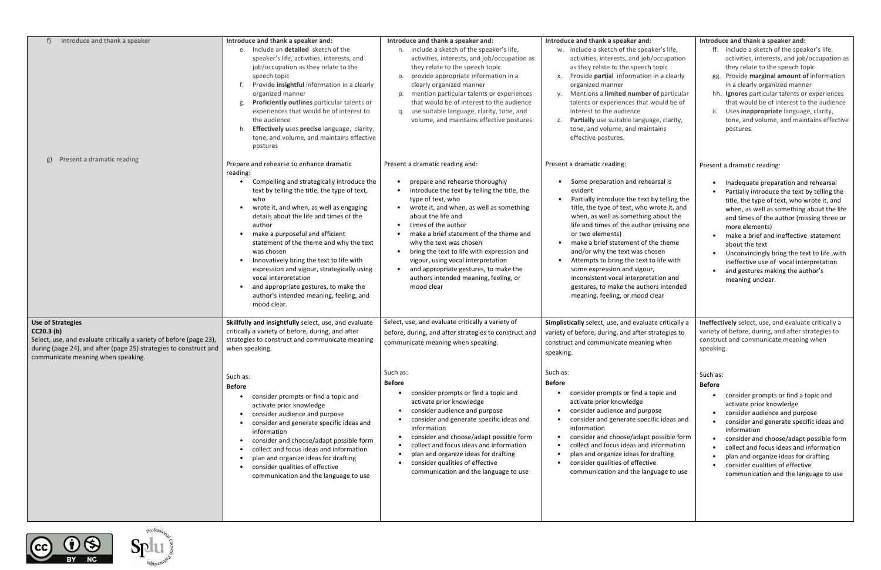| Introduce and thank a speaker                                                                                                                                                                                                       | Introduce and thank a speaker and:<br>Include an detailed sketch of the<br>e.<br>speaker's life, activities, interests, and<br>job/occupation as they relate to the<br>speech topic<br>Provide insightful information in a clearly<br>organized manner<br>Proficiently outlines particular talents or<br>g.<br>experiences that would be of interest to<br>the audience<br>Effectively uses precise language, clarity,<br>tone, and volume, and maintains effective<br>postures                                                | Introduce and thank a speaker and:<br>n. include a sketch of the speaker's life,<br>activities, interests, and job/occupation as<br>they relate to the speech topic<br>o. provide appropriate information in a<br>clearly organized manner<br>p. mention particular talents or experiences<br>that would be of interest to the audience<br>q. use suitable language, clarity, tone, and<br>volume, and maintains effective postures.                                                                        | Introduce and thank a speaker and:<br>w. include a sketch of the speaker's life,<br>activities, interests, and job/occupation<br>as they relate to the speech topic<br>x. Provide partial information in a clearly<br>organized manner<br>Mentions a limited number of particular<br>talents or experiences that would be of<br>interest to the audience<br>z. Partially use suitable language, clarity,<br>tone, and volume, and maintains<br>effective postures.                                                                       | Introduce and thank a speaker and:<br>ff. include a sketch of the speaker's life,<br>activities, interests, and job/occupation as<br>they relate to the speech topic<br>gg. Provide marginal amount of information<br>in a clearly organized manner<br>hh. Ignores particular talents or experiences<br>that would be of interest to the audience<br>ii. Uses inappropriate language, clarity,<br>tone, and volume, and maintains effective<br>postures.        |
|-------------------------------------------------------------------------------------------------------------------------------------------------------------------------------------------------------------------------------------|--------------------------------------------------------------------------------------------------------------------------------------------------------------------------------------------------------------------------------------------------------------------------------------------------------------------------------------------------------------------------------------------------------------------------------------------------------------------------------------------------------------------------------|-------------------------------------------------------------------------------------------------------------------------------------------------------------------------------------------------------------------------------------------------------------------------------------------------------------------------------------------------------------------------------------------------------------------------------------------------------------------------------------------------------------|------------------------------------------------------------------------------------------------------------------------------------------------------------------------------------------------------------------------------------------------------------------------------------------------------------------------------------------------------------------------------------------------------------------------------------------------------------------------------------------------------------------------------------------|-----------------------------------------------------------------------------------------------------------------------------------------------------------------------------------------------------------------------------------------------------------------------------------------------------------------------------------------------------------------------------------------------------------------------------------------------------------------|
| Present a dramatic reading<br>g)                                                                                                                                                                                                    | Prepare and rehearse to enhance dramatic                                                                                                                                                                                                                                                                                                                                                                                                                                                                                       | Present a dramatic reading and:                                                                                                                                                                                                                                                                                                                                                                                                                                                                             | Present a dramatic reading:                                                                                                                                                                                                                                                                                                                                                                                                                                                                                                              | Present a dramatic reading:                                                                                                                                                                                                                                                                                                                                                                                                                                     |
|                                                                                                                                                                                                                                     | reading:<br>Compelling and strategically introduce the<br>text by telling the title, the type of text,<br>who<br>wrote it, and when, as well as engaging<br>details about the life and times of the<br>author<br>make a purposeful and efficient<br>statement of the theme and why the text<br>was chosen<br>Innovatively bring the text to life with<br>expression and vigour, strategically using<br>vocal interpretation<br>and appropriate gestures, to make the<br>author's intended meaning, feeling, and<br>mood clear. | prepare and rehearse thoroughly<br>introduce the text by telling the title, the<br>$\bullet$<br>type of text, who<br>wrote it, and when, as well as something<br>$\bullet$<br>about the life and<br>times of the author<br>$\bullet$<br>make a brief statement of the theme and<br>why the text was chosen<br>bring the text to life with expression and<br>$\bullet$<br>vigour, using vocal interpretation<br>and appropriate gestures, to make the<br>authors intended meaning, feeling, or<br>mood clear | Some preparation and rehearsal is<br>evident<br>Partially introduce the text by telling the<br>$\bullet$<br>title, the type of text, who wrote it, and<br>when, as well as something about the<br>life and times of the author (missing one<br>or two elements)<br>make a brief statement of the theme<br>and/or why the text was chosen<br>Attempts to bring the text to life with<br>some expression and vigour,<br>inconsistent vocal interpretation and<br>gestures, to make the authors intended<br>meaning, feeling, or mood clear | Inadequate preparation and rehearsal<br>Partially introduce the text by telling the<br>title, the type of text, who wrote it, and<br>when, as well as something about the life<br>and times of the author (missing three or<br>more elements)<br>make a brief and ineffective statement<br>about the text<br>• Unconvincingly bring the text to life, with<br>ineffective use of vocal interpretation<br>• and gestures making the author's<br>meaning unclear. |
| <b>Use of Strategies</b><br>CC20.3 <sub>(b)</sub><br>Select, use, and evaluate critically a variety of before (page 23),<br>during (page 24), and after (page 25) strategies to construct and<br>communicate meaning when speaking. | Skillfully and insightfully select, use, and evaluate<br>critically a variety of before, during, and after<br>strategies to construct and communicate meaning<br>when speaking.                                                                                                                                                                                                                                                                                                                                                | Select, use, and evaluate critically a variety of<br>before, during, and after strategies to construct and<br>communicate meaning when speaking.                                                                                                                                                                                                                                                                                                                                                            | Simplistically select, use, and evaluate critically a<br>variety of before, during, and after strategies to<br>construct and communicate meaning when<br>speaking.                                                                                                                                                                                                                                                                                                                                                                       | Ineffectively select, use, and evaluate critically a<br>variety of before, during, and after strategies to<br>construct and communicate meaning when<br>speaking.                                                                                                                                                                                                                                                                                               |
|                                                                                                                                                                                                                                     | Such as:<br><b>Before</b><br>consider prompts or find a topic and<br>activate prior knowledge<br>consider audience and purpose<br>consider and generate specific ideas and<br>information<br>consider and choose/adapt possible form<br>$\bullet$<br>collect and focus ideas and information<br>plan and organize ideas for drafting<br>consider qualities of effective<br>communication and the language to use                                                                                                               | Such as:<br>Before<br>consider prompts or find a topic and<br>activate prior knowledge<br>consider audience and purpose<br>consider and generate specific ideas and<br>information<br>consider and choose/adapt possible form<br>collect and focus ideas and information<br>plan and organize ideas for drafting<br>consider qualities of effective<br>communication and the language to use                                                                                                                | Such as:<br><b>Before</b><br>consider prompts or find a topic and<br>activate prior knowledge<br>consider audience and purpose<br>$\bullet$<br>consider and generate specific ideas and<br>information<br>consider and choose/adapt possible form<br>collect and focus ideas and information<br>plan and organize ideas for drafting<br>consider qualities of effective<br>communication and the language to use                                                                                                                         | Such as:<br><b>Before</b><br>consider prompts or find a topic and<br>activate prior knowledge<br>• consider audience and purpose<br>• consider and generate specific ideas and<br>information<br>consider and choose/adapt possible form<br>collect and focus ideas and information<br>plan and organize ideas for drafting<br>consider qualities of effective<br>communication and the language to use                                                         |

 $\bigodot$   $\bigodot$   $\bigodot$ 

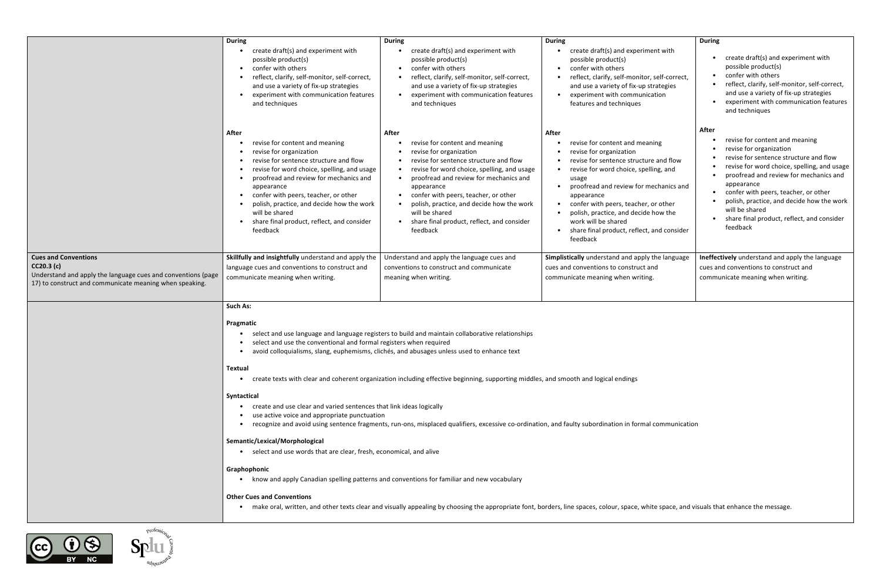|                                                                                                                                                                     | <b>During</b><br>create draft(s) and experiment with<br>possible product(s)<br>confer with others<br>$\bullet$<br>reflect, clarify, self-monitor, self-correct,<br>$\bullet$<br>and use a variety of fix-up strategies<br>experiment with communication features<br>$\bullet$<br>and techniques                                                                                                                                                                                                                                                                                                                                                                                                                                                                                                                                                                                                                                                                                                                                                                                                                                                                                                                                                                                | <b>During</b><br>create draft(s) and experiment with<br>possible product(s)<br>confer with others<br>$\bullet$<br>reflect, clarify, self-monitor, self-correct,<br>and use a variety of fix-up strategies<br>experiment with communication features<br>and techniques                                                                                                                | <b>During</b><br>create draft(s) and experiment with<br>possible product(s)<br>confer with others<br>$\bullet$<br>reflect, clarify, self-monitor, self-correct,<br>and use a variety of fix-up strategies<br>experiment with communication<br>features and techniques                                                                                                                   | <b>During</b><br>create draft(s) and experiment with<br>possible product(s)<br>confer with others<br>$\bullet$<br>reflect, clarify, self-monitor, self-correct,<br>and use a variety of fix-up strategies<br>experiment with communication features<br>and techniques                                                                                                                |  |
|---------------------------------------------------------------------------------------------------------------------------------------------------------------------|--------------------------------------------------------------------------------------------------------------------------------------------------------------------------------------------------------------------------------------------------------------------------------------------------------------------------------------------------------------------------------------------------------------------------------------------------------------------------------------------------------------------------------------------------------------------------------------------------------------------------------------------------------------------------------------------------------------------------------------------------------------------------------------------------------------------------------------------------------------------------------------------------------------------------------------------------------------------------------------------------------------------------------------------------------------------------------------------------------------------------------------------------------------------------------------------------------------------------------------------------------------------------------|--------------------------------------------------------------------------------------------------------------------------------------------------------------------------------------------------------------------------------------------------------------------------------------------------------------------------------------------------------------------------------------|-----------------------------------------------------------------------------------------------------------------------------------------------------------------------------------------------------------------------------------------------------------------------------------------------------------------------------------------------------------------------------------------|--------------------------------------------------------------------------------------------------------------------------------------------------------------------------------------------------------------------------------------------------------------------------------------------------------------------------------------------------------------------------------------|--|
|                                                                                                                                                                     | After<br>revise for content and meaning<br>revise for organization<br>$\bullet$<br>revise for sentence structure and flow<br>revise for word choice, spelling, and usage<br>proofread and review for mechanics and<br>appearance<br>confer with peers, teacher, or other<br>polish, practice, and decide how the work<br>will be shared<br>share final product, reflect, and consider<br>feedback                                                                                                                                                                                                                                                                                                                                                                                                                                                                                                                                                                                                                                                                                                                                                                                                                                                                              | After<br>revise for content and meaning<br>revise for organization<br>revise for sentence structure and flow<br>revise for word choice, spelling, and usage<br>proofread and review for mechanics and<br>appearance<br>confer with peers, teacher, or other<br>polish, practice, and decide how the work<br>will be shared<br>share final product, reflect, and consider<br>feedback | After<br>revise for content and meaning<br>revise for organization<br>revise for sentence structure and flow<br>revise for word choice, spelling, and<br>usage<br>proofread and review for mechanics and<br>appearance<br>confer with peers, teacher, or other<br>polish, practice, and decide how the<br>work will be shared<br>share final product, reflect, and consider<br>feedback | After<br>revise for content and meaning<br>revise for organization<br>revise for sentence structure and flow<br>revise for word choice, spelling, and usage<br>proofread and review for mechanics and<br>appearance<br>confer with peers, teacher, or other<br>polish, practice, and decide how the work<br>will be shared<br>share final product, reflect, and consider<br>feedback |  |
| <b>Cues and Conventions</b><br>CC20.3(c)<br>Understand and apply the language cues and conventions (page<br>17) to construct and communicate meaning when speaking. | Skillfully and insightfully understand and apply the<br>language cues and conventions to construct and<br>communicate meaning when writing.                                                                                                                                                                                                                                                                                                                                                                                                                                                                                                                                                                                                                                                                                                                                                                                                                                                                                                                                                                                                                                                                                                                                    | Understand and apply the language cues and<br>conventions to construct and communicate<br>meaning when writing.                                                                                                                                                                                                                                                                      | Simplistically understand and apply the language<br>cues and conventions to construct and<br>communicate meaning when writing.                                                                                                                                                                                                                                                          | Ineffectively understand and apply the language<br>cues and conventions to construct and<br>communicate meaning when writing.                                                                                                                                                                                                                                                        |  |
|                                                                                                                                                                     | <b>Such As:</b><br>Pragmatic<br>select and use language and language registers to build and maintain collaborative relationships<br>$\bullet$<br>select and use the conventional and formal registers when required<br>avoid colloquialisms, slang, euphemisms, clichés, and abusages unless used to enhance text<br>$\bullet$<br>Textual<br>create texts with clear and coherent organization including effective beginning, supporting middles, and smooth and logical endings<br>$\bullet$<br>Syntactical<br>create and use clear and varied sentences that link ideas logically<br>use active voice and appropriate punctuation<br>recognize and avoid using sentence fragments, run-ons, misplaced qualifiers, excessive co-ordination, and faulty subordination in formal communication<br>$\bullet$<br>Semantic/Lexical/Morphological<br>select and use words that are clear, fresh, economical, and alive<br>Graphophonic<br>know and apply Canadian spelling patterns and conventions for familiar and new vocabulary<br><b>Other Cues and Conventions</b><br>make oral, written, and other texts clear and visually appealing by choosing the appropriate font, borders, line spaces, colour, space, white space, and visuals that enhance the message.<br>$\bullet$ |                                                                                                                                                                                                                                                                                                                                                                                      |                                                                                                                                                                                                                                                                                                                                                                                         |                                                                                                                                                                                                                                                                                                                                                                                      |  |